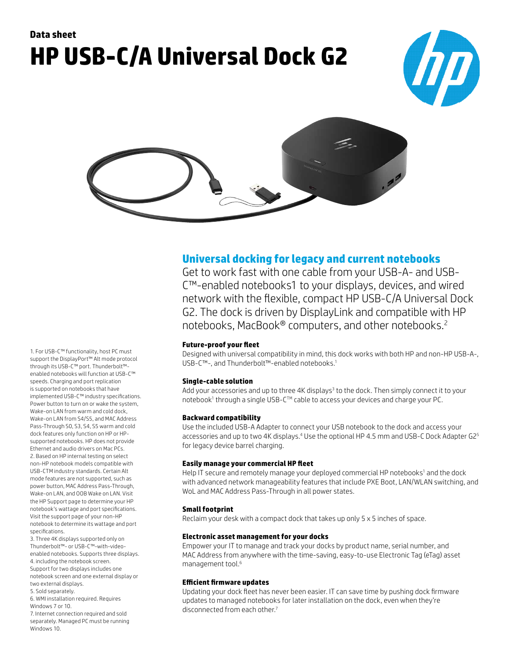# **Data sheet HP USB-C/A Universal Dock G2**





**Universal docking for legacy and current notebooks**

Get to work fast with one cable from your USB-A- and USB-C™-enabled notebooks1 to your displays, devices, and wired network with the flexible, compact HP USB-C/A Universal Dock G2. The dock is driven by DisplayLink and compatible with HP notebooks, MacBook® computers, and other notebooks.<sup>2</sup>

# **Future-proof your fleet**

Designed with universal compatibility in mind, this dock works with both HP and non-HP USB-A-, USB-C™-, and Thunderbolt™-enabled notebooks.<sup>1</sup>

# **Single-cable solution**

Add your accessories and up to three 4K displays<sup>3</sup> to the dock. Then simply connect it to your notebook1 through a single USB-C™ cable to access your devices and charge your PC.

# **Backward compatibility**

Use the included USB-A Adapter to connect your USB notebook to the dock and access your accessories and up to two 4K displays. $4$  Use the optional HP 4.5 mm and USB-C Dock Adapter G2 $^{\rm 5}$ for legacy device barrel charging.

#### **Easily manage your commercial HP fleet**

Help IT secure and remotely manage your deployed commercial HP notebooks<sup>1</sup> and the dock with advanced network manageability features that include PXE Boot, LAN/WLAN switching, and WoL and MAC Address Pass-Through in all power states.

# **Small footprint**

Reclaim your desk with a compact dock that takes up only 5 x 5 inches of space.

#### **Electronic asset management for your docks**

Empower your IT to manage and track your docks by product name, serial number, and MAC Address from anywhere with the time-saving, easy-to-use Electronic Tag (eTag) asset management tool.<sup>6</sup>

# **Efficient firmware updates**

Updating your dock fleet has never been easier. IT can save time by pushing dock firmware updates to managed notebooks for later installation on the dock, even when they're disconnected from each other.<sup>7</sup>

1. For USB-C™ functionality, host PC must support the DisplayPort™ Alt mode protocol through its USB-C™ port. Thunderbolt™ enabled notebooks will function at USB-C™ speeds. Charging and port replication is supported on notebooks that have implemented USB-C™ industry specifications. Power button to turn on or wake the system, Wake-on LAN from warm and cold dock, Wake-on LAN from S4/S5, and MAC Address Pass-Through S0, S3, S4, S5 warm and cold dock features only function on HP or HPsupported notebooks. HP does not provide Ethernet and audio drivers on Mac PCs. 2. Based on HP internal testing on select non-HP notebook models compatible with USB-CTM industry standards. Certain Alt mode features are not supported, such as power button, MAC Address Pass-Through, Wake-on LAN, and OOB Wake on LAN, Visit the HP Support page to determine your HP notebook's wattage and port specifications. Visit the support page of your non-HP notebook to determine its wattage and port specifications.

3. Three 4K displays supported only on Thunderbolt™- or USB-C™-with-videoenabled notebooks. Supports three displays. 4. including the notebook screen. Support for two displays includes one notebook screen and one external display or two external displays.

5. Sold separately.

6. WMI installation required. Requires Windows 7 or 10.

7. Internet connection required and sold separately. Managed PC must be running Windows 10.